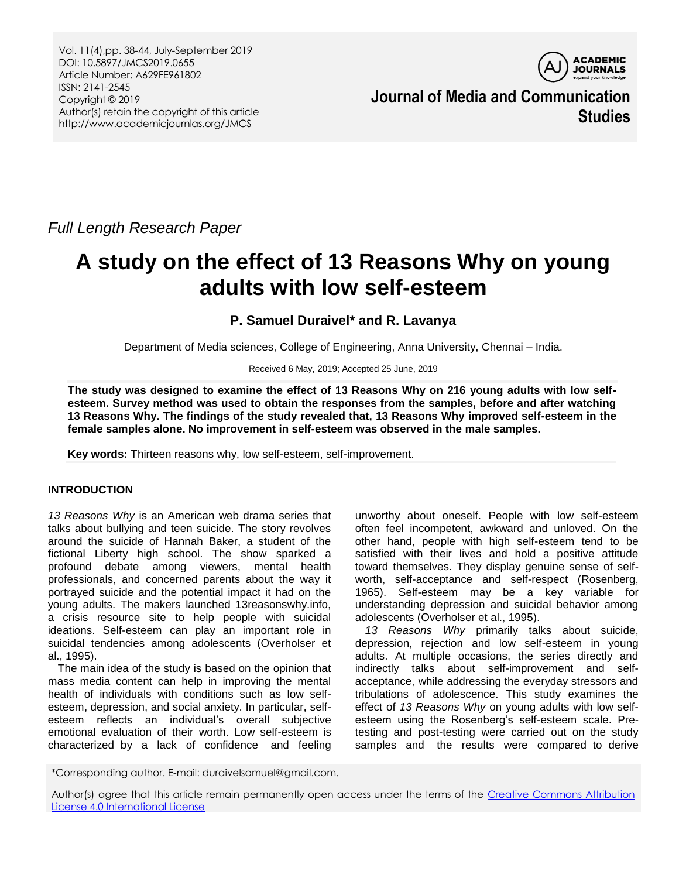

**Journal of Media and Communication Studies**

*Full Length Research Paper*

# **A study on the effect of 13 Reasons Why on young adults with low self-esteem**

# **P. Samuel Duraivel\* and R. Lavanya**

Department of Media sciences, College of Engineering, Anna University, Chennai – India.

Received 6 May, 2019; Accepted 25 June, 2019

**The study was designed to examine the effect of 13 Reasons Why on 216 young adults with low selfesteem. Survey method was used to obtain the responses from the samples, before and after watching 13 Reasons Why. The findings of the study revealed that, 13 Reasons Why improved self-esteem in the female samples alone. No improvement in self-esteem was observed in the male samples.**

**Key words:** Thirteen reasons why, low self-esteem, self-improvement.

# **INTRODUCTION**

*13 Reasons Why* is an American web drama series that talks about bullying and teen suicide. The story revolves around the suicide of Hannah Baker, a student of the fictional Liberty high school. The show sparked a profound debate among viewers, mental health professionals, and concerned parents about the way it portrayed suicide and the potential impact it had on the young adults. The makers launched 13reasonswhy.info, a crisis resource site to help people with suicidal ideations. Self-esteem can play an important role in suicidal tendencies among adolescents (Overholser et al., 1995).

The main idea of the study is based on the opinion that mass media content can help in improving the mental health of individuals with conditions such as low selfesteem, depression, and social anxiety. In particular, selfesteem reflects an individual's overall subjective emotional evaluation of their worth. Low self-esteem is characterized by a lack of confidence and feeling

unworthy about oneself. People with low self-esteem often feel incompetent, awkward and unloved. On the other hand, people with high self-esteem tend to be satisfied with their lives and hold a positive attitude toward themselves. They display genuine sense of selfworth, self-acceptance and self-respect (Rosenberg, 1965). Self-esteem may be a key variable for understanding depression and suicidal behavior among adolescents (Overholser et al., 1995).

*13 Reasons Why* primarily talks about suicide, depression, rejection and low self-esteem in young adults. At multiple occasions, the series directly and indirectly talks about self-improvement and selfacceptance, while addressing the everyday stressors and tribulations of adolescence. This study examines the effect of *13 Reasons Why* on young adults with low selfesteem using the Rosenberg's self-esteem scale. Pretesting and post-testing were carried out on the study samples and the results were compared to derive

\*Corresponding author. E-mail: duraivelsamuel@gmail.com.

Author(s) agree that this article remain permanently open access under the terms of the [Creative Commons Attribution](http://creativecommons.org/licenses/by/4.0/deed.en_US)  [License 4.0 International License](http://creativecommons.org/licenses/by/4.0/deed.en_US)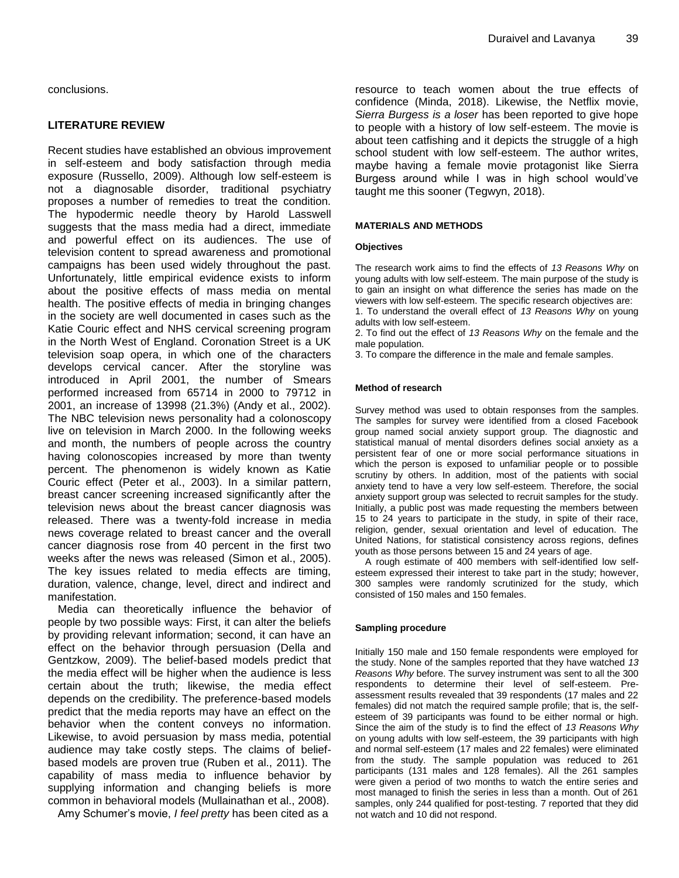conclusions.

# **LITERATURE REVIEW**

Recent studies have established an obvious improvement in self-esteem and body satisfaction through media exposure (Russello, 2009). Although low self-esteem is not a diagnosable disorder, traditional psychiatry proposes a number of remedies to treat the condition. The hypodermic needle theory by Harold Lasswell suggests that the mass media had a direct, immediate and powerful effect on its audiences. The use of television content to spread awareness and promotional campaigns has been used widely throughout the past. Unfortunately, little empirical evidence exists to inform about the positive effects of mass media on mental health. The positive effects of media in bringing changes in the society are well documented in cases such as the Katie Couric effect and NHS cervical screening program in the North West of England. Coronation Street is a UK television soap opera, in which one of the characters develops cervical cancer. After the storyline was introduced in April 2001, the number of Smears performed increased from 65714 in 2000 to 79712 in 2001, an increase of 13998 (21.3%) (Andy et al., 2002). The NBC television news personality had a colonoscopy live on television in March 2000. In the following weeks and month, the numbers of people across the country having colonoscopies increased by more than twenty percent. The phenomenon is widely known as Katie Couric effect (Peter et al., 2003). In a similar pattern, breast cancer screening increased significantly after the television news about the breast cancer diagnosis was released. There was a twenty-fold increase in media news coverage related to breast cancer and the overall cancer diagnosis rose from 40 percent in the first two weeks after the news was released (Simon et al., 2005). The key issues related to media effects are timing, duration, valence, change, level, direct and indirect and manifestation.

Media can theoretically influence the behavior of people by two possible ways: First, it can alter the beliefs by providing relevant information; second, it can have an effect on the behavior through persuasion (Della and Gentzkow, 2009). The belief-based models predict that the media effect will be higher when the audience is less certain about the truth; likewise, the media effect depends on the credibility. The preference-based models predict that the media reports may have an effect on the behavior when the content conveys no information. Likewise, to avoid persuasion by mass media, potential audience may take costly steps. The claims of beliefbased models are proven true (Ruben et al., 2011). The capability of mass media to influence behavior by supplying information and changing beliefs is more common in behavioral models (Mullainathan et al., 2008).

Amy Schumer's movie, *I feel pretty* has been cited as a

resource to teach women about the true effects of confidence (Minda, 2018). Likewise, the Netflix movie, *Sierra Burgess is a loser* has been reported to give hope to people with a history of low self-esteem. The movie is about teen catfishing and it depicts the struggle of a high school student with low self-esteem. The author writes, maybe having a female movie protagonist like Sierra Burgess around while I was in high school would've taught me this sooner (Tegwyn, 2018).

#### **MATERIALS AND METHODS**

#### **Objectives**

The research work aims to find the effects of *13 Reasons Why* on young adults with low self-esteem. The main purpose of the study is to gain an insight on what difference the series has made on the viewers with low self-esteem. The specific research objectives are: 1. To understand the overall effect of *13 Reasons Why* on young adults with low self-esteem.

2. To find out the effect of *13 Reasons Why* on the female and the male population.

3. To compare the difference in the male and female samples.

#### **Method of research**

Survey method was used to obtain responses from the samples. The samples for survey were identified from a closed Facebook group named social anxiety support group. The diagnostic and statistical manual of mental disorders defines social anxiety as a persistent fear of one or more social performance situations in which the person is exposed to unfamiliar people or to possible scrutiny by others. In addition, most of the patients with social anxiety tend to have a very low self-esteem. Therefore, the social anxiety support group was selected to recruit samples for the study. Initially, a public post was made requesting the members between 15 to 24 years to participate in the study, in spite of their race, religion, gender, sexual orientation and level of education. The United Nations, for statistical consistency across regions, defines youth as those persons between 15 and 24 years of age.

A rough estimate of 400 members with self-identified low selfesteem expressed their interest to take part in the study; however, 300 samples were randomly scrutinized for the study, which consisted of 150 males and 150 females.

#### **Sampling procedure**

Initially 150 male and 150 female respondents were employed for the study. None of the samples reported that they have watched *13 Reasons Why* before. The survey instrument was sent to all the 300 respondents to determine their level of self-esteem. Preassessment results revealed that 39 respondents (17 males and 22 females) did not match the required sample profile; that is, the selfesteem of 39 participants was found to be either normal or high. Since the aim of the study is to find the effect of *13 Reasons Why* on young adults with low self-esteem, the 39 participants with high and normal self-esteem (17 males and 22 females) were eliminated from the study. The sample population was reduced to 261 participants (131 males and 128 females). All the 261 samples were given a period of two months to watch the entire series and most managed to finish the series in less than a month. Out of 261 samples, only 244 qualified for post-testing. 7 reported that they did not watch and 10 did not respond.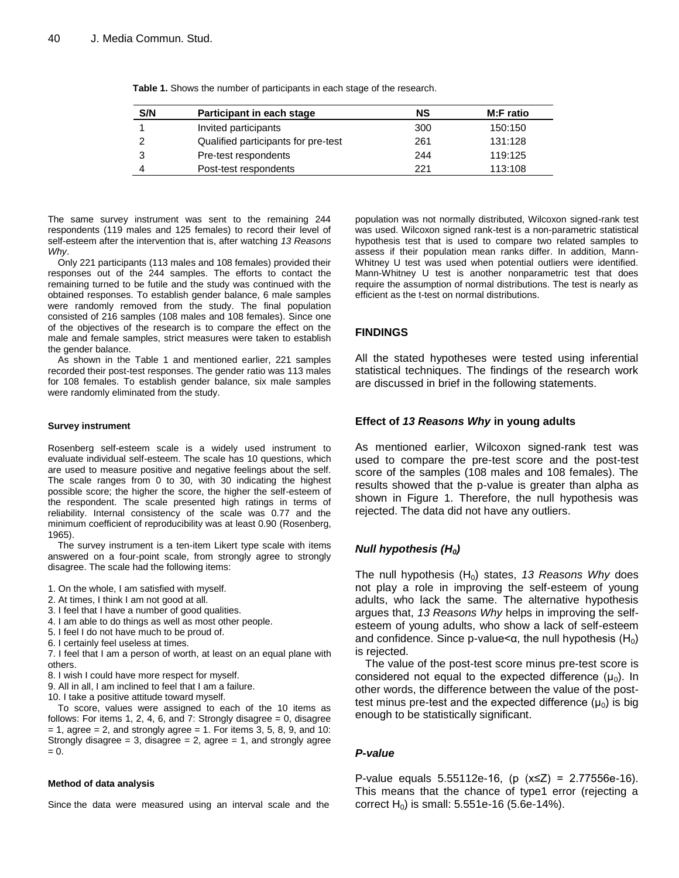| S/N | Participant in each stage           | <b>NS</b> | <b>M:F</b> ratio |
|-----|-------------------------------------|-----------|------------------|
|     | Invited participants                | 300       | 150:150          |
|     | Qualified participants for pre-test | 261       | 131:128          |
|     | Pre-test respondents                | 244       | 119:125          |
|     | Post-test respondents               | 221       | 113:108          |

**Table 1.** Shows the number of participants in each stage of the research.

The same survey instrument was sent to the remaining 244 respondents (119 males and 125 females) to record their level of self-esteem after the intervention that is, after watching *13 Reasons Why*.

Only 221 participants (113 males and 108 females) provided their responses out of the 244 samples. The efforts to contact the remaining turned to be futile and the study was continued with the obtained responses. To establish gender balance, 6 male samples were randomly removed from the study. The final population consisted of 216 samples (108 males and 108 females). Since one of the objectives of the research is to compare the effect on the male and female samples, strict measures were taken to establish the gender balance.

As shown in the Table 1 and mentioned earlier, 221 samples recorded their post-test responses. The gender ratio was 113 males for 108 females. To establish gender balance, six male samples were randomly eliminated from the study.

#### **Survey instrument**

Rosenberg self-esteem scale is a widely used instrument to evaluate individual self-esteem. The scale has 10 questions, which are used to measure positive and negative feelings about the self. The scale ranges from 0 to 30, with 30 indicating the highest possible score; the higher the score, the higher the self-esteem of the respondent. The scale presented high ratings in terms of reliability. Internal consistency of the scale was 0.77 and the minimum coefficient of reproducibility was at least 0.90 (Rosenberg, 1965).

The survey instrument is a ten-item Likert type scale with items answered on a four-point scale, from strongly agree to strongly disagree. The scale had the following items:

- 1. On the whole, I am satisfied with myself.
- 2. At times, I think I am not good at all.
- 3. I feel that I have a number of good qualities.
- 4. I am able to do things as well as most other people.
- 5. I feel I do not have much to be proud of.
- 6. I certainly feel useless at times.
- 7. I feel that I am a person of worth, at least on an equal plane with others.
- 8. I wish I could have more respect for myself.
- 9. All in all, I am inclined to feel that I am a failure.
- 10. I take a positive attitude toward myself.

To score, values were assigned to each of the 10 items as follows: For items 1, 2, 4, 6, and 7: Strongly disagree  $= 0$ , disagree  $= 1$ , agree  $= 2$ , and strongly agree  $= 1$ . For items 3, 5, 8, 9, and 10: Strongly disagree = 3, disagree = 2, agree = 1, and strongly agree  $= 0.$ 

#### **Method of data analysis**

Since the data were measured using an interval scale and the

population was not normally distributed, Wilcoxon signed-rank test was used. Wilcoxon signed rank-test is a non-parametric statistical hypothesis test that is used to compare two related samples to assess if their population mean ranks differ. In addition, Mann-Whitney U test was used when potential outliers were identified. Mann-Whitney U test is another nonparametric test that does require the assumption of normal distributions. The test is nearly as efficient as the t-test on normal distributions.

## **FINDINGS**

All the stated hypotheses were tested using inferential statistical techniques. The findings of the research work are discussed in brief in the following statements.

## **Effect of** *13 Reasons Why* **in young adults**

As mentioned earlier, Wilcoxon signed-rank test was used to compare the pre-test score and the post-test score of the samples (108 males and 108 females). The results showed that the p-value is greater than alpha as shown in Figure 1. Therefore, the null hypothesis was rejected. The data did not have any outliers.

## *Null hypothesis (H0)*

The null hypothesis  $(H_0)$  states, 13 Reasons Why does not play a role in improving the self-esteem of young adults, who lack the same. The alternative hypothesis argues that, *13 Reasons Why* helps in improving the selfesteem of young adults, who show a lack of self-esteem and confidence. Since p-value $\leq \alpha$ , the null hypothesis (H<sub>0</sub>) is rejected.

The value of the post-test score minus pre-test score is considered not equal to the expected difference  $(\mu_0)$ . In other words, the difference between the value of the posttest minus pre-test and the expected difference  $(\mu_0)$  is big enough to be statistically significant.

## *P-value*

P-value equals 5.55112e-16, (p (x≤Z) = 2.77556e-16). This means that the chance of type1 error (rejecting a correct  $H_0$ ) is small: 5.551e-16 (5.6e-14%).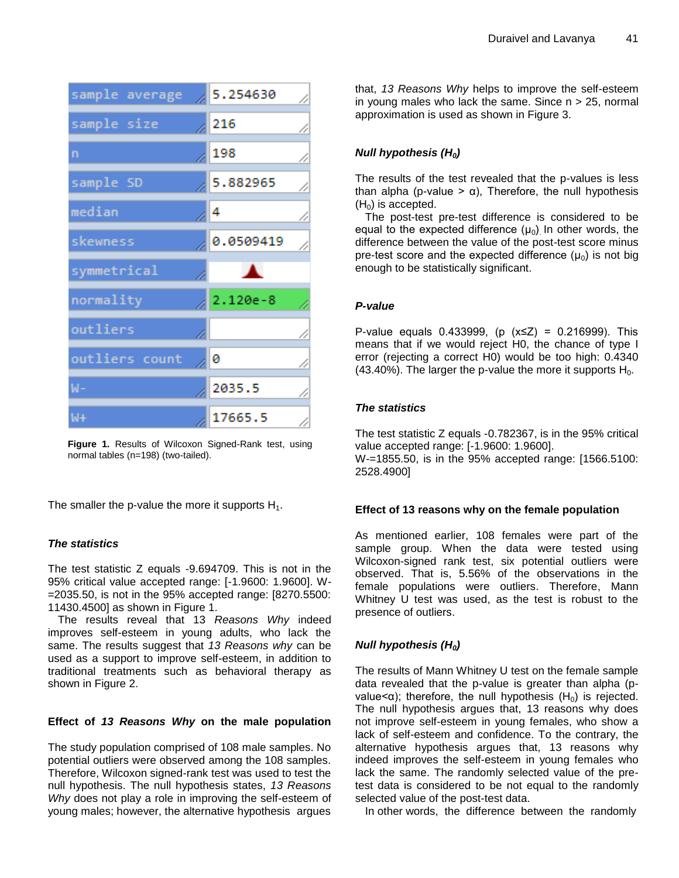

**Figure 1.** Results of Wilcoxon Signed-Rank test, using normal tables (n=198) (two-tailed).

The smaller the p-value the more it supports  $H_1$ .

# *The statistics*

The test statistic Z equals -9.694709. This is not in the 95% critical value accepted range: [-1.9600: 1.9600]. W- =2035.50, is not in the 95% accepted range: [8270.5500: 11430.4500] as shown in Figure 1.

The results reveal that 13 *Reasons Why* indeed improves self-esteem in young adults, who lack the same. The results suggest that *13 Reasons why* can be used as a support to improve self-esteem, in addition to traditional treatments such as behavioral therapy as shown in Figure 2.

# **Effect of** *13 Reasons Why* **on the male population**

The study population comprised of 108 male samples. No potential outliers were observed among the 108 samples. Therefore, Wilcoxon signed-rank test was used to test the null hypothesis. The null hypothesis states, *13 Reasons Why* does not play a role in improving the self-esteem of young males; however, the alternative hypothesis argues

that, *13 Reasons Why* helps to improve the self-esteem in young males who lack the same. Since  $n > 25$ , normal approximation is used as shown in Figure 3.

# *Null hypothesis (H0)*

The results of the test revealed that the p-values is less than alpha (p-value >  $\alpha$ ), Therefore, the null hypothesis  $(H<sub>0</sub>)$  is accepted.

The post-test pre-test difference is considered to be equal to the expected difference  $(\mu_0)$  in other words, the difference between the value of the post-test score minus pre-test score and the expected difference  $(\mu_0)$  is not big enough to be statistically significant.

## *P-value*

P-value equals 0.433999, ( $p$  ( $x≤Z$ ) = 0.216999). This means that if we would reject H0, the chance of type I error (rejecting a correct H0) would be too high: 0.4340 (43.40%). The larger the p-value the more it supports  $H_0$ .

# *The statistics*

The test statistic Z equals -0.782367, is in the 95% critical value accepted range: [-1.9600: 1.9600]. W-=1855.50, is in the 95% accepted range: [1566.5100: 2528.4900]

## **Effect of 13 reasons why on the female population**

As mentioned earlier, 108 females were part of the sample group. When the data were tested using Wilcoxon-signed rank test, six potential outliers were observed. That is, 5.56% of the observations in the female populations were outliers. Therefore, Mann Whitney U test was used, as the test is robust to the presence of outliers.

# *Null hypothesis (H0)*

The results of Mann Whitney U test on the female sample data revealed that the p-value is greater than alpha (pvalue< $\alpha$ ); therefore, the null hypothesis (H<sub>0</sub>) is rejected. The null hypothesis argues that, 13 reasons why does not improve self-esteem in young females, who show a lack of self-esteem and confidence. To the contrary, the alternative hypothesis argues that, 13 reasons why indeed improves the self-esteem in young females who lack the same. The randomly selected value of the pretest data is considered to be not equal to the randomly selected value of the post-test data.

In other words, the difference between the randomly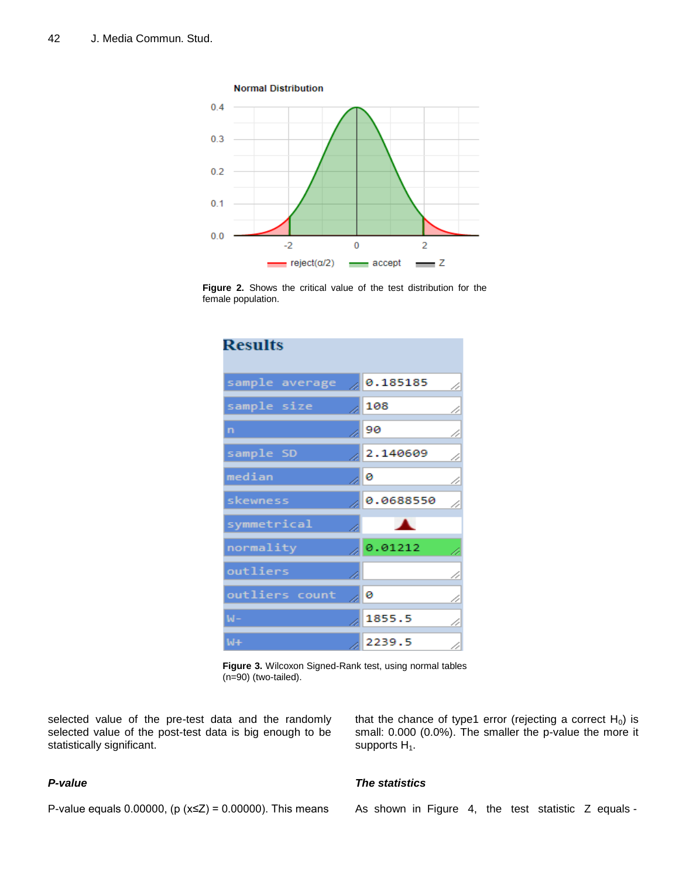

**Figure 2.** Shows the critical value of the test distribution for the female population.

| <b>Results</b> |  |           |    |  |  |
|----------------|--|-----------|----|--|--|
| sample average |  | 0.185185  | 4  |  |  |
| sample size    |  | 108       | Þ  |  |  |
| n              |  | 90        | Þ  |  |  |
| sample SD      |  | 2.140609  | 4  |  |  |
| median         |  | ∞∣⊘       | í  |  |  |
| skewness       |  | 0.0688550 | // |  |  |
| symmetrical    |  |           |    |  |  |
| normality      |  | 0.01212   |    |  |  |
| outliers       |  |           | // |  |  |
| outliers count |  | 10        | í  |  |  |
| W-             |  | 1855.5    | í  |  |  |
| W+             |  | 2239.5    | í  |  |  |

**Figure 3.** Wilcoxon Signed-Rank test, using normal tables (n=90) (two-tailed).

selected value of the pre-test data and the randomly selected value of the post-test data is big enough to be statistically significant.

# *P-value*

that the chance of type1 error (rejecting a correct  $H_0$ ) is small: 0.000 (0.0%). The smaller the p-value the more it supports  $H_1$ .

P-value equals 0.00000, ( $p$  ( $x≤Z$ ) = 0.00000). This means

# *The statistics*

As shown in Figure 4, the test statistic Z equals -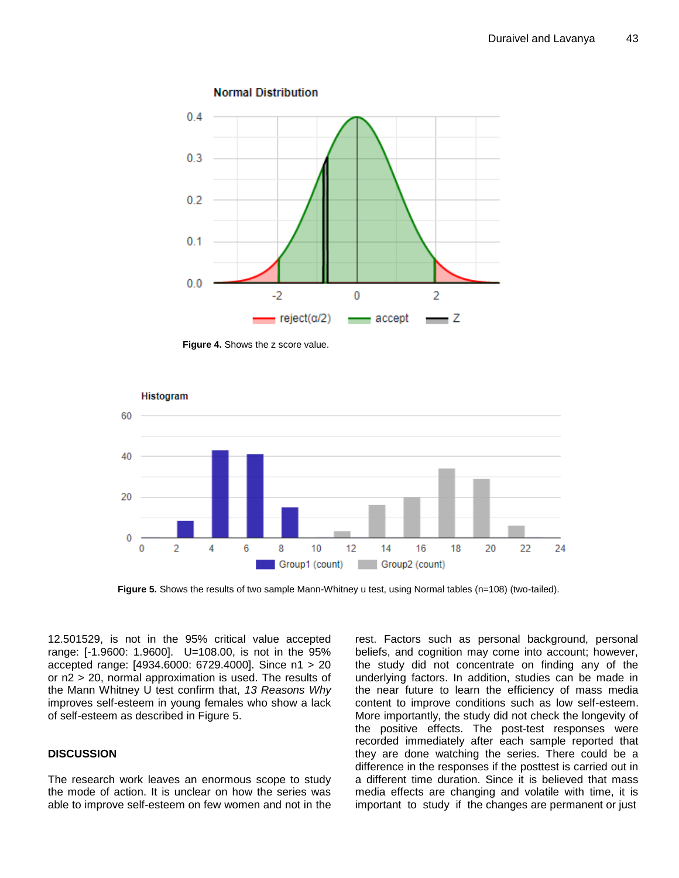

**Figure 4.** Shows the z score value.



**Figure 5.** Shows the results of two sample Mann-Whitney u test, using Normal tables (n=108) (two-tailed).

12.501529, is not in the 95% critical value accepted range: [-1.9600: 1.9600]. U=108.00, is not in the 95% accepted range: [4934.6000: 6729.4000]. Since n1 > 20 or n2 > 20, normal approximation is used. The results of the Mann Whitney U test confirm that, *13 Reasons Why* improves self-esteem in young females who show a lack of self-esteem as described in Figure 5.

# **DISCUSSION**

The research work leaves an enormous scope to study the mode of action. It is unclear on how the series was able to improve self-esteem on few women and not in the rest. Factors such as personal background, personal beliefs, and cognition may come into account; however, the study did not concentrate on finding any of the underlying factors. In addition, studies can be made in the near future to learn the efficiency of mass media content to improve conditions such as low self-esteem. More importantly, the study did not check the longevity of the positive effects. The post-test responses were recorded immediately after each sample reported that they are done watching the series. There could be a difference in the responses if the posttest is carried out in a different time duration. Since it is believed that mass media effects are changing and volatile with time, it is important to study if the changes are permanent or just